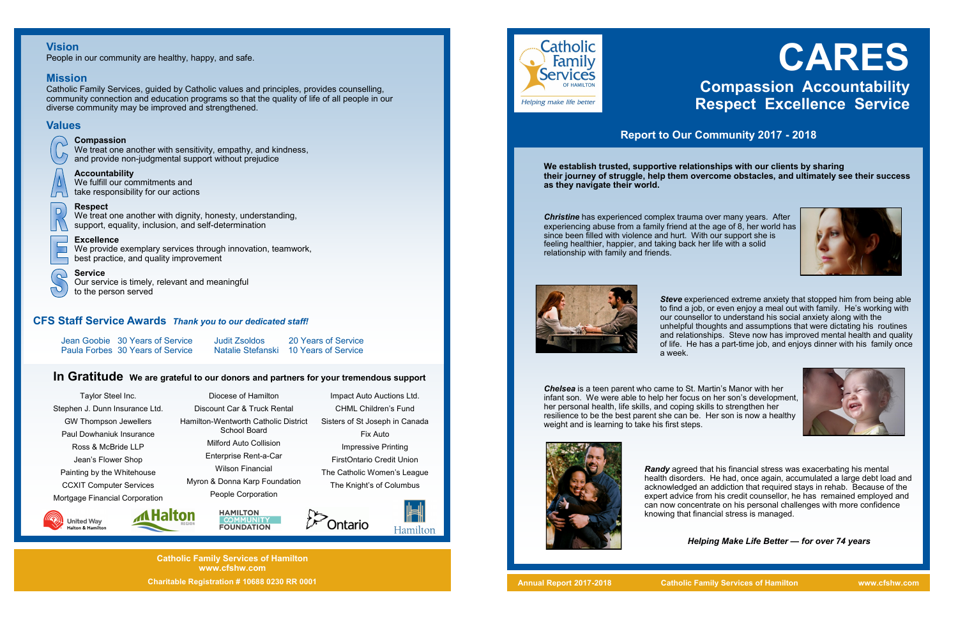# **CARES Compassion Accountability Respect Excellence Service**



## **Report to Our Community 2017 - 2018**

**Catholic Family Services of Hamilton www.cfshw.com Charitable Registration # 10688 0230 RR 0001**

**We establish trusted, supportive relationships with our clients by sharing their journey of struggle, help them overcome obstacles, and ultimately see their success as they navigate their world.** 

> **Steve** experienced extreme anxiety that stopped him from being able to find a job, or even enjoy a meal out with family. He's working with our counsellor to understand his social anxiety along with the unhelpful thoughts and assumptions that were dictating his routines and relationships. Steve now has improved mental health and quality of life. He has a part-time job, and enjoys dinner with his family once



*Christine* has experienced complex trauma over many years. After experiencing abuse from a family friend at the age of 8, her world has since been filled with violence and hurt. With our support she is feeling healthier, happier, and taking back her life with a solid relationship with family and friends.



a week.

We treat one another with dignity, honesty, understanding, support, equality, inclusion, and self-determination

> *Chelsea* is a teen parent who came to St. Martin's Manor with her infant son. We were able to help her focus on her son's development, her personal health, life skills, and coping skills to strengthen her resilience to be the best parent she can be. Her son is now a healthy weight and is learning to take his first steps.



The Catholic Women's League The Knight's of Columbus Ontario Hamilton

*Randy* agreed that his financial stress was exacerbating his mental health disorders. He had, once again, accumulated a large debt load and acknowledged an addiction that required stays in rehab. Because of the expert advice from his credit counsellor, he has remained employed and can now concentrate on his personal challenges with more confidence knowing that financial stress is managed.

#### *Helping Make Life Better — for over 74 years*

### **Vision**

People in our community are healthy, happy, and safe.

#### **Mission**

Catholic Family Services, guided by Catholic values and principles, provides counselling, community connection and education programs so that the quality of life of all people in our diverse community may be improved and strengthened.

## **Values**

 $\Box$ 

 $\Box$ 

 $\Omega$ 

### **Compassion**

We treat one another with sensitivity, empathy, and kindness, and provide non-judgmental support without prejudice

#### **Accountability**

We fulfill our commitments and take responsibility for our actions

#### **Respect**

#### **Excellence**

We provide exemplary services through innovation, teamwork, best practice, and quality improvement

#### **Service**

Our service is timely, relevant and meaningful to the person served

## **In Gratitude We are grateful to our donors and partners for your tremendous support**

### **CFS Staff Service Awards** *Thank you to our dedicated staff!*

Jean Goobie 30 Years of Service Judit Zsoldos 20 Years of Service

**Natalie Stefanski 10 Years of Service** 

Taylor Steel Inc. Stephen J. Dunn Insurance Ltd. GW Thompson Jewellers Paul Dowhaniuk Insurance Ross & McBride LLP Jean's Flower Shop Painting by the Whitehouse CCXIT Computer Services Mortgage Financial Corporation



Impact Auto Auctions Ltd. CHML Children's Fund Sisters of St Joseph in Canada Fix Auto Impressive Printing FirstOntario Credit Union



**Catholic** 

Helping make life better

Family **Services** 



Diocese of Hamilton Discount Car & Truck Rental Hamilton-Wentworth Catholic District School Board Milford Auto Collision Enterprise Rent-a-Car Wilson Financial Myron & Donna Karp Foundation